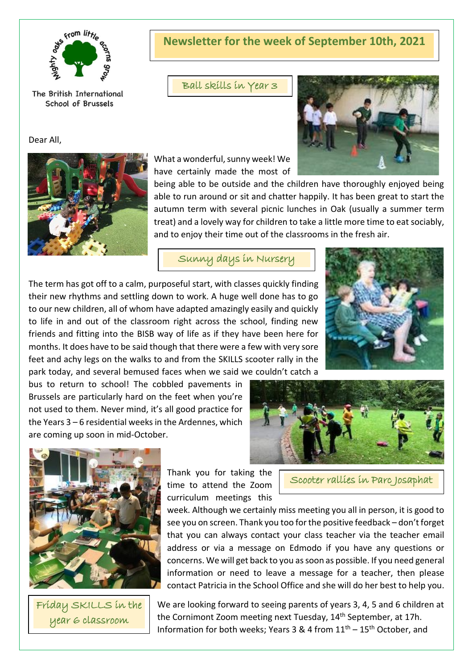

The British International School of Brussels

Dear All,



**Newsletter for the week of September 10th, 2021**

Ball skills in Year 3



What a wonderful, sunny week! We have certainly made the most of

being able to be outside and the children have thoroughly enjoyed being able to run around or sit and chatter happily. It has been great to start the autumn term with several picnic lunches in Oak (usually a summer term treat) and a lovely way for children to take a little more time to eat sociably, and to enjoy their time out of the classrooms in the fresh air.

Sunny days in Nursery

The term has got off to a calm, purposeful start, with classes quickly finding their new rhythms and settling down to work. A huge well done has to go to our new children, all of whom have adapted amazingly easily and quickly to life in and out of the classroom right across the school, finding new friends and fitting into the BISB way of life as if they have been here for months. It does have to be said though that there were a few with very sore feet and achy legs on the walks to and from the SKILLS scooter rally in the park today, and several bemused faces when we said we couldn't catch a

bus to return to school! The cobbled pavements in Brussels are particularly hard on the feet when you're not used to them. Never mind, it's all good practice for the Years 3 – 6 residential weeks in the Ardennes, which are coming up soon in mid-October.







Friday SKILLS in the year 6 classroom

Thank you for taking the time to attend the Zoom curriculum meetings this

Scooter rallies in Parc Josaphat

week. Although we certainly miss meeting you all in person, it is good to see you on screen. Thank you too for the positive feedback – don't forget that you can always contact your class teacher via the teacher email address or via a message on Edmodo if you have any questions or concerns. We will get back to you as soon as possible. If you need general information or need to leave a message for a teacher, then please contact Patricia in the School Office and she will do her best to help you.

We are looking forward to seeing parents of years 3, 4, 5 and 6 children at the Cornimont Zoom meeting next Tuesday, 14<sup>th</sup> September, at 17h. Information for both weeks; Years 3 & 4 from  $11<sup>th</sup> - 15<sup>th</sup>$  October, and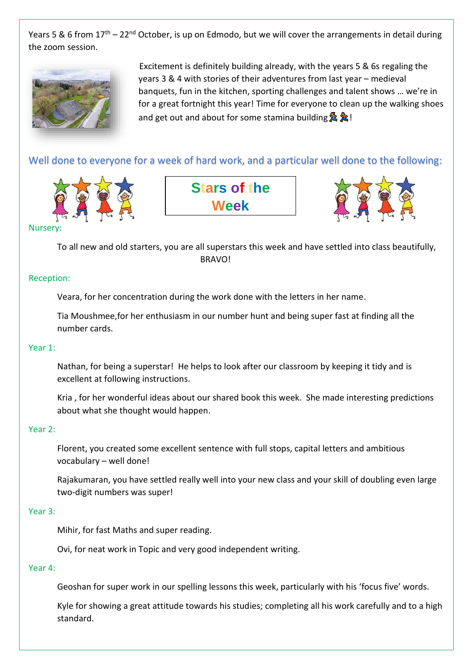Years 5 & 6 from  $17<sup>th</sup> - 22<sup>nd</sup>$  October, is up on Edmodo, but we will cover the arrangements in detail during the zoom session.



 Excitement is definitely building already, with the years 5 & 6s regaling the years 3 & 4 with stories of their adventures from last year – medieval banquets, fun in the kitchen, sporting challenges and talent shows … we're in for a great fortnight this year! Time for everyone to clean up the walking shoes and get out and about for some stamina building  $\lambda$ 

Well done to everyone for a week of hard work, and a particular well done to the following:







#### **Nurser**

To all new and old starters, you are all superstars this week and have settled into class beautifully, **BRAVO!** 

#### Reception:

Veara, for her concentration during the work done with the letters in her name.

Tia Moushmee,for her enthusiasm in our number hunt and being super fast at finding all the number cards.

#### Year 1:

Nathan, for being a superstar! He helps to look after our classroom by keeping it tidy and is excellent at following instructions.

Kria , for her wonderful ideas about our shared book this week. She made interesting predictions about what she thought would happen.

#### Year 2:

Florent, you created some excellent sentence with full stops, capital letters and ambitious vocabulary – well done!

Rajakumaran, you have settled really well into your new class and your skill of doubling even large two-digit numbers was super!

#### Year 3:

Mihir, for fast Maths and super reading.

Ovi, for neat work in Topic and very good independent writing.

#### Year 4:

Geoshan for super work in our spelling lessons this week, particularly with his 'focus five' words.

Kyle for showing a great attitude towards his studies; completing all his work carefully and to a high standard.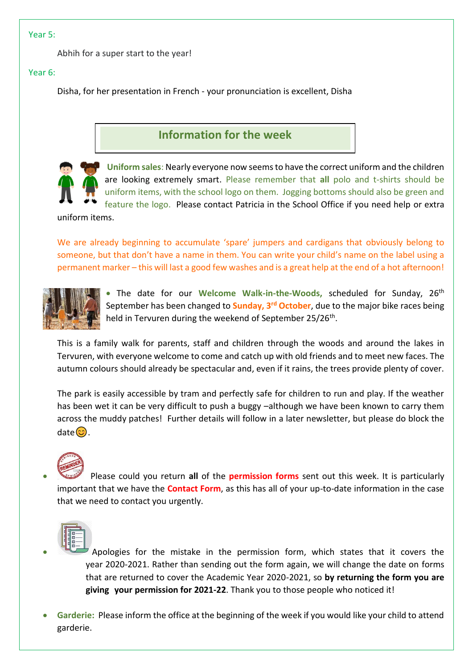#### Year 5:

Abhih for a super start to the year!

#### Year 6:

Disha, for her presentation in French - your pronunciation is excellent, Disha

### **Information for the week**



**Uniform sales**: Nearly everyone now seems to have the correct uniform and the children are looking extremely smart. Please remember that **all** polo and t-shirts should be uniform items, with the school logo on them. Jogging bottoms should also be green and feature the logo. Please contact Patricia in the School Office if you need help or extra

uniform items.

We are already beginning to accumulate 'spare' jumpers and cardigans that obviously belong to someone, but that don't have a name in them. You can write your child's name on the label using a permanent marker – this will last a good few washes and is a great help at the end of a hot afternoon!



• The date for our Welcome Walk-in-the-Woods, scheduled for Sunday, 26<sup>th</sup> September has been changed to **Sunday, 3rd October**, due to the major bike races being held in Tervuren during the weekend of September 25/26<sup>th</sup>.

This is a family walk for parents, staff and children through the woods and around the lakes in Tervuren, with everyone welcome to come and catch up with old friends and to meet new faces. The autumn colours should already be spectacular and, even if it rains, the trees provide plenty of cover.

The park is easily accessible by tram and perfectly safe for children to run and play. If the weather has been wet it can be very difficult to push a buggy –although we have been known to carry them across the muddy patches! Further details will follow in a later newsletter, but please do block the  $date($ 



• Please could you return **all** of the **permission forms** sent out this week. It is particularly important that we have the **Contact Form**, as this has all of your up-to-date information in the case that we need to contact you urgently.



- Apologies for the mistake in the permission form, which states that it covers the year 2020-2021. Rather than sending out the form again, we will change the date on forms that are returned to cover the Academic Year 2020-2021, so **by returning the form you are giving your permission for 2021-22**. Thank you to those people who noticed it!
- **Garderie:** Please inform the office at the beginning of the week if you would like your child to attend garderie.